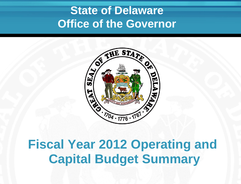# **State of Delaware Office of the Governor**



# **Fiscal Year 2012 Operating and Capital Budget Summary**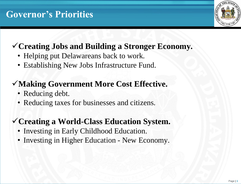# **Governor's Priorities**

# **Creating Jobs and Building a Stronger Economy.**

- Helping put Delawareans back to work.
- Establishing New Jobs Infrastructure Fund.

# **Making Government More Cost Effective.**

- Reducing debt.
- Reducing taxes for businesses and citizens.

## **Creating a World-Class Education System.**

- Investing in Early Childhood Education.
- Investing in Higher Education New Economy.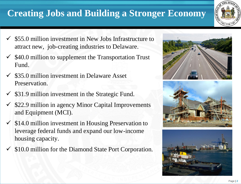# **Creating Jobs and Building a Stronger Economy**



- $\checkmark$  \$55.0 million investment in New Jobs Infrastructure to attract new, job-creating industries to Delaware.
- \$40.0 million to supplement the Transportation Trust Fund.
- \$35.0 million investment in Delaware Asset Preservation.
- \$31.9 million investment in the Strategic Fund.
- \$22.9 million in agency Minor Capital Improvements and Equipment (MCI).
- $\checkmark$  \$14.0 million investment in Housing Preservation to leverage federal funds and expand our low-income housing capacity.
- \$10.0 million for the Diamond State Port Corporation.





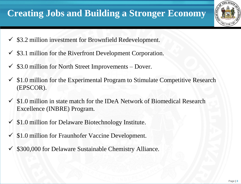# **Creating Jobs and Building a Stronger Economy**

- $\checkmark$  \$3.2 million investment for Brownfield Redevelopment.
- $\checkmark$  \$3.1 million for the Riverfront Development Corporation.
- \$3.0 million for North Street Improvements Dover.
- $\checkmark$  \$1.0 million for the Experimental Program to Stimulate Competitive Research (EPSCOR).
- $\checkmark$  \$1.0 million in state match for the IDeA Network of Biomedical Research Excellence (INBRE) Program.
- $\checkmark$  \$1.0 million for Delaware Biotechnology Institute.
- \$1.0 million for Fraunhofer Vaccine Development.
- \$300,000 for Delaware Sustainable Chemistry Alliance.

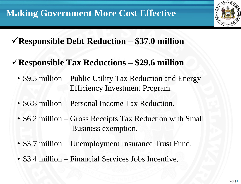

# **Responsible Debt Reduction – \$37.0 million**

- **Responsible Tax Reductions – \$29.6 million**
	- \$9.5 million Public Utility Tax Reduction and Energy Efficiency Investment Program.
	- \$6.8 million Personal Income Tax Reduction.
	- \$6.2 million Gross Receipts Tax Reduction with Small Business exemption.
	- \$3.7 million Unemployment Insurance Trust Fund.
	- \$3.4 million Financial Services Jobs Incentive.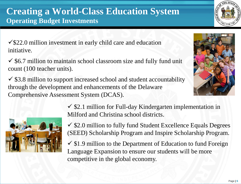$\sqrt{$22.0}$  million investment in early child care and education initiative.

 $\checkmark$  \$6.7 million to maintain school classroom size and fully fund unit count (100 teacher units).

 $\checkmark$  \$3.8 million to support increased school and student accountability through the development and enhancements of the Delaware Comprehensive Assessment System (DCAS).



 $\checkmark$  \$2.1 million for Full-day Kindergarten implementation in Milford and Christina school districts.

 $\checkmark$  \$2.0 million to fully fund Student Excellence Equals Degrees (SEED) Scholarship Program and Inspire Scholarship Program.

 $\checkmark$  \$1.9 million to the Department of Education to fund Foreign Language Expansion to ensure our students will be more competitive in the global economy.



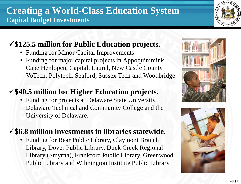### **\$125.5 million for Public Education projects.**

- Funding for Minor Capital Improvements.
- Funding for major capital projects in Appoquinimink, Cape Henlopen, Capital, Laurel, New Castle County VoTech, Polytech, Seaford, Sussex Tech and Woodbridge.

### **\$40.5 million for Higher Education projects.**

• Funding for projects at Delaware State University, Delaware Technical and Community College and the University of Delaware.

#### **\$6.8 million investments in libraries statewide.**

• Funding for Bear Public Library, Claymont Branch Library, Dover Public Library, Duck Creek Regional Library (Smyrna), Frankford Public Library, Greenwood Public Library and Wilmington Institute Public Library.





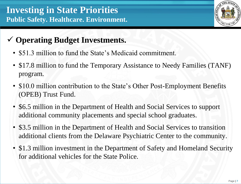

## **Operating Budget Investments.**

- \$51.3 million to fund the State's Medicaid commitment.
- \$17.8 million to fund the Temporary Assistance to Needy Families (TANF) program.
- \$10.0 million contribution to the State's Other Post-Employment Benefits (OPEB) Trust Fund.
- \$6.5 million in the Department of Health and Social Services to support additional community placements and special school graduates.
- \$3.5 million in the Department of Health and Social Services to transition additional clients from the Delaware Psychiatric Center to the community.
- \$1.3 million investment in the Department of Safety and Homeland Security for additional vehicles for the State Police.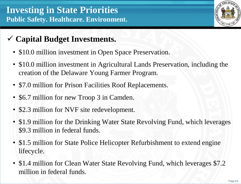- **Capital Budget Investments.**
	- \$10.0 million investment in Open Space Preservation.
	- \$10.0 million investment in Agricultural Lands Preservation, including the creation of the Delaware Young Farmer Program.
	- \$7.0 million for Prison Facilities Roof Replacements.
	- \$6.7 million for new Troop 3 in Camden.
	- \$2.3 million for NVF site redevelopment.
	- \$1.9 million for the Drinking Water State Revolving Fund, which leverages \$9.3 million in federal funds.
	- \$1.5 million for State Police Helicopter Refurbishment to extend engine lifecycle.
	- \$1.4 million for Clean Water State Revolving Fund, which leverages \$7.2 million in federal funds.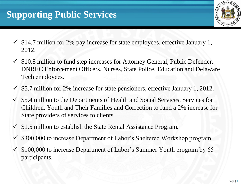# **Supporting Public Services**

- $\checkmark$  \$14.7 million for 2% pay increase for state employees, effective January 1, 2012.
- \$10.8 million to fund step increases for Attorney General, Public Defender, DNREC Enforcement Officers, Nurses, State Police, Education and Delaware Tech employees.
- \$5.7 million for 2% increase for state pensioners, effective January 1, 2012.
- \$5.4 million to the Departments of Health and Social Services, Services for Children, Youth and Their Families and Correction to fund a 2% increase for State providers of services to clients.
- $\checkmark$  \$1.5 million to establish the State Rental Assistance Program.
- \$300,000 to increase Department of Labor's Sheltered Workshop program.
- \$100,000 to increase Department of Labor's Summer Youth program by 65 participants.

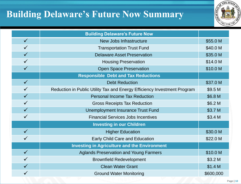# **Building Delaware's Future Now Summary**



|              | <b>Building Delaware's Future Now</b>                                    |                    |
|--------------|--------------------------------------------------------------------------|--------------------|
| $\checkmark$ | <b>New Jobs Infrastructure</b>                                           | \$55.0 M           |
|              | <b>Transportation Trust Fund</b>                                         | \$40.0 M           |
|              | <b>Delaware Asset Preservation</b>                                       | \$35.0 M           |
| $\checkmark$ | <b>Housing Preservation</b>                                              | \$14.0 M           |
| $\checkmark$ | <b>Open Space Preservation</b>                                           | \$10.0 M           |
|              | <b>Responsible Debt and Tax Reductions</b>                               |                    |
| $\checkmark$ | <b>Debt Reduction</b>                                                    | \$37.0 M           |
|              | Reduction in Public Utility Tax and Energy Efficiency Investment Program | \$9.5 M            |
| $\checkmark$ | <b>Personal Income Tax Reduction</b>                                     | \$6.8 M            |
|              | <b>Gross Receipts Tax Reduction</b>                                      | \$6.2 M            |
|              | Unemployment Insurance Trust Fund                                        | \$3.7 M            |
|              | <b>Financial Services Jobs Incentives</b>                                | \$3.4 M            |
|              | <b>Investing in our Children</b>                                         |                    |
| $\checkmark$ | <b>Higher Education</b>                                                  | \$30.0 M           |
|              | <b>Early Child Care and Education</b>                                    | \$22.0 M           |
|              | <b>Investing in Agriculture and the Environment</b>                      |                    |
| $\checkmark$ | <b>Aglands Preservation and Young Farmers</b>                            | \$10.0 M           |
|              | <b>Brownfield Redevelopment</b>                                          | \$3.2 <sub>M</sub> |
|              | <b>Clean Water Grant</b>                                                 | \$1.4 M            |
|              | <b>Ground Water Monitoring</b>                                           | \$600,000          |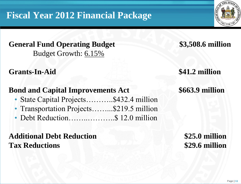# **Fiscal Year 2012 Financial Package**

#### **General Fund Operating Budget \$3,508.6 million** Budget Growth: 6.15%

#### **Grants-In-Aid \$41.2 million**

### **Bond and Capital Improvements Act \$663.9 million**

- State Capital Projects...........\$432.4 million
- Transportation Projects.........\$219.5 million
- Debt Reduction…................\$ 12.0 million

### **Additional Debt Reduction \$25.0 million Tax Reductions \$29.6 million**